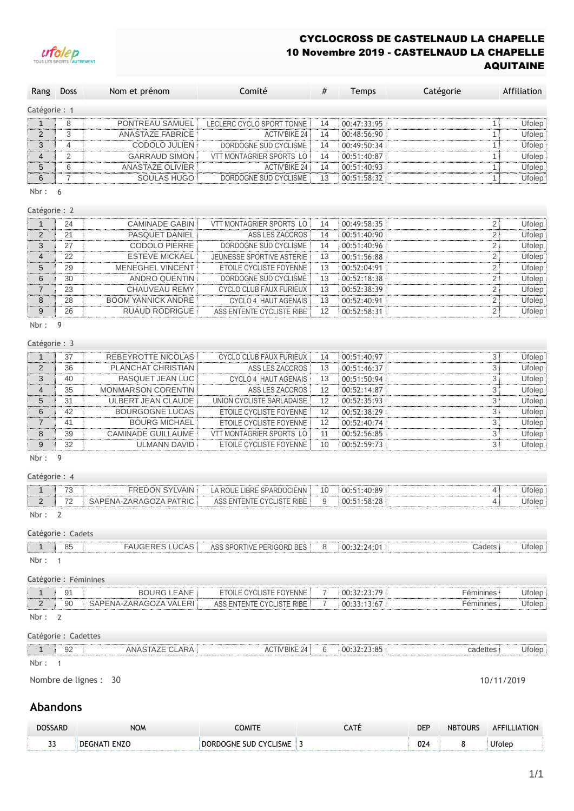## CYCLOCROSS DE CASTELNAUD LA CHAPELLE 10 Novembre 2019 - CASTELNAUD LA CHAPELLE AQUITAINE



| Rang                     | Doss                  | Nom et prénom             | Comité                         | #  | Temps       | Catégorie               | Affiliation |
|--------------------------|-----------------------|---------------------------|--------------------------------|----|-------------|-------------------------|-------------|
| Catégorie: 1             |                       |                           |                                |    |             |                         |             |
| $\mathbf{1}$             | 8                     | PONTREAU SAMUEL           | LECLERC CYCLO SPORT TONNE      | 14 | 00:47:33:95 | 1                       | Ufolep      |
| $\overline{2}$           | 3                     | <b>ANASTAZE FABRICE</b>   | <b>ACTIV'BIKE 24</b>           | 14 | 00:48:56:90 | $\mathbf{1}$            | Ufolep      |
| 3                        | $\overline{4}$        | CODOLO JULIEN             | DORDOGNE SUD CYCLISME          | 14 | 00:49:50:34 | 1                       | Ufolep      |
| $\overline{4}$           | $\overline{2}$        | <b>GARRAUD SIMON</b>      | VTT MONTAGRIER SPORTS LO       | 14 | 00:51:40:87 | 1                       | Ufolep      |
| 5                        | 6                     | <b>ANASTAZE OLIVIER</b>   | <b>ACTIV'BIKE 24</b>           | 14 | 00:51:40:93 | 1                       | Ufolep      |
| 6                        | $\overline{7}$        | SOULAS HUGO               | DORDOGNE SUD CYCLISME          | 13 | 00:51:58:32 | 1                       | Ufolep      |
| Nbr:                     | 6                     |                           |                                |    |             |                         |             |
| Catégorie: 2             |                       |                           |                                |    |             |                         |             |
| $\mathbf{1}$             | 24                    | <b>CAMINADE GABIN</b>     | VTT MONTAGRIER SPORTS LO       | 14 | 00:49:58:35 | $\overline{2}$          | Ufolep      |
| $\overline{2}$           | 21                    | PASQUET DANIEL            | ASS LES ZACCROS                | 14 | 00:51:40:90 | 2                       | Ufolep      |
| 3                        | 27                    | <b>CODOLO PIERRE</b>      | DORDOGNE SUD CYCLISME          | 14 | 00:51:40:96 | $\overline{\mathbf{c}}$ | Ufolep      |
| 4                        | 22                    | <b>ESTEVE MICKAEL</b>     | JEUNESSE SPORTIVE ASTERIE      | 13 | 00:51:56:88 | $\sqrt{2}$              | Ufolep      |
| 5                        | 29                    | <b>MENEGHEL VINCENT</b>   | ETOILE CYCLISTE FOYENNE        | 13 | 00:52:04:91 | $\overline{2}$          | Ufolep      |
| 6                        | 30                    | <b>ANDRO QUENTIN</b>      | DORDOGNE SUD CYCLISME          | 13 | 00:52:18:38 | $\overline{2}$          | Ufolep      |
| $\overline{7}$           | 23                    | <b>CHAUVEAU REMY</b>      | <b>CYCLO CLUB FAUX FURIEUX</b> | 13 | 00:52:38:39 | 2                       | Ufolep      |
| 8                        | 28                    | <b>BOOM YANNICK ANDRE</b> | CYCLO 4 HAUT AGENAIS           | 13 | 00:52:40:91 | $\overline{2}$          | Ufolep      |
| 9                        | 26                    | <b>RUAUD RODRIGUE</b>     | ASS ENTENTE CYCLISTE RIBE      | 12 | 00:52:58:31 | $\overline{2}$          | Ufolep      |
| Nbr:                     | 9                     |                           |                                |    |             |                         |             |
| Catégorie: 3             |                       |                           |                                |    |             |                         |             |
| $\mathbf{1}$             | 37                    | <b>REBEYROTTE NICOLAS</b> | CYCLO CLUB FAUX FURIEUX        | 14 | 00:51:40:97 | 3                       | Ufolep      |
| $\overline{2}$           | 36                    | PLANCHAT CHRISTIAN        | ASS LES ZACCROS                | 13 | 00:51:46:37 | 3                       | Ufolep      |
| 3                        | 40                    | PASQUET JEAN LUC          | CYCLO 4 HAUT AGENAIS           | 13 | 00:51:50:94 | 3                       | Ufolep      |
| 4                        | 35                    | MONMARSON CORENTIN        | ASS LES ZACCROS                | 12 | 00:52:14:87 | 3                       | Ufolep      |
| 5                        | 31                    | <b>ULBERT JEAN CLAUDE</b> | UNION CYCLISTE SARLADAISE      | 12 | 00:52:35:93 | 3                       | Ufolep      |
| 6                        | 42                    | <b>BOURGOGNE LUCAS</b>    | ETOILE CYCLISTE FOYENNE        | 12 | 00:52:38:29 | 3                       | Ufolep      |
| $\overline{7}$           | 41                    | <b>BOURG MICHAEL</b>      | ETOILE CYCLISTE FOYENNE        | 12 | 00:52:40:74 | 3                       | Ufolep      |
| 8                        | 39                    | <b>CAMINADE GUILLAUME</b> | VTT MONTAGRIER SPORTS LO       | 11 | 00:52:56:85 | 3                       | Ufolep      |
| 9<br>Nbr:                | 32<br>9               | <b>ULMANN DAVID</b>       | ETOILE CYCLISTE FOYENNE        | 10 | 00:52:59:73 | 3                       | Ufolep      |
|                          |                       |                           |                                |    |             |                         |             |
| Catégorie: 4             |                       |                           |                                |    |             |                         |             |
| 1                        | 73                    | <b>FREDON SYLVAIN</b>     | LA ROUE LIBRE SPARDOCIENN      | 10 | 00:51:40:89 | 4                       | Ufolep      |
| $\overline{2}$<br>Nbr: 2 | 72                    | SAPENA-ZARAGOZA PATRIC    | ASS ENTENTE CYCLISTE RIBE      | 9  | 00:51:58:28 | $\overline{4}$          | Ufolep      |
|                          |                       |                           |                                |    |             |                         |             |
|                          | Catégorie : Cadets    |                           |                                |    |             |                         |             |
| 1<br>Nbr:                | 85<br>$\overline{1}$  | <b>FAUGERES LUCAS</b>     | ASS SPORTIVE PERIGORD BES      | 8  | 00:32:24:01 | Cadets                  | Ufolep      |
|                          | Catégorie : Féminines |                           |                                |    |             |                         |             |
| 1                        | 91                    | <b>BOURG LEANE</b>        | ETOILE CYCLISTE FOYENNE        | 7  | 00:32:23:79 | Féminines               | Ufolep      |
| $\overline{c}$           | 90                    | SAPENA-ZARAGOZA VALERI    | ASS ENTENTE CYCLISTE RIBE      | 7  | 00:33:13:67 | Féminines               | Ufolep      |
| Nbr:                     | $\overline{2}$        |                           |                                |    |             |                         |             |
|                          | Catégorie : Cadettes  |                           |                                |    |             |                         |             |
| $\mathbf{1}$             | 92                    | ANASTAZE CLARA            | <b>ACTIV'BIKE 24</b>           | 6  | 00:32:23:85 | cadettes                | Ufolep      |
| Nbr: 1                   |                       |                           |                                |    |             |                         |             |
|                          |                       | Nombre de lignes : 30     |                                |    |             |                         | 10/11/2019  |
|                          |                       |                           |                                |    |             |                         |             |
|                          | <b>Abandons</b>       |                           |                                |    |             |                         |             |

## **Abandons**

| <b>DOSSARD</b> | <b>NOM</b>          | COMITE                | CATÉ | <b>DEP</b> | <b>NBTOURS</b> | <b>AFFILLIATION</b> |
|----------------|---------------------|-----------------------|------|------------|----------------|---------------------|
| $\sim$<br>--   | <b>DEGNATI ENZO</b> | DORDOGNE SUD CYCLISME |      | 024        |                | Ufolep              |